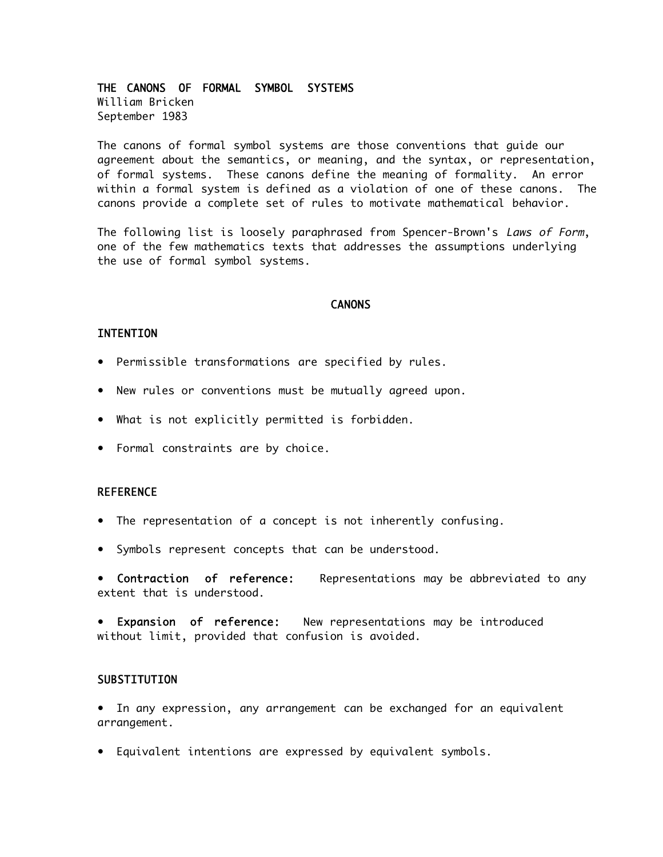THE CANONS OF FORMAL SYMBOL SYSTEMS William Bricken September 1983

The canons of formal symbol systems are those conventions that guide our agreement about the semantics, or meaning, and the syntax, or representation, of formal systems. These canons define the meaning of formality. An error within a formal system is defined as a violation of one of these canons. The canons provide a complete set of rules to motivate mathematical behavior.

The following list is loosely paraphrased from Spencer-Brown's Laws of Form, one of the few mathematics texts that addresses the assumptions underlying the use of formal symbol systems.

# **CANONS**

#### INTENTION

- Permissible transformations are specified by rules.
- New rules or conventions must be mutually agreed upon.
- What is not explicitly permitted is forbidden.
- Formal constraints are by choice.

#### REFERENCE

- The representation of a concept is not inherently confusing.
- Symbols represent concepts that can be understood.

• Contraction of reference: Representations may be abbreviated to any extent that is understood.

Expansion of reference: New representations may be introduced without limit, provided that confusion is avoided.

### **SUBSTITUTION**

• In any expression, any arrangement can be exchanged for an equivalent arrangement.

• Equivalent intentions are expressed by equivalent symbols.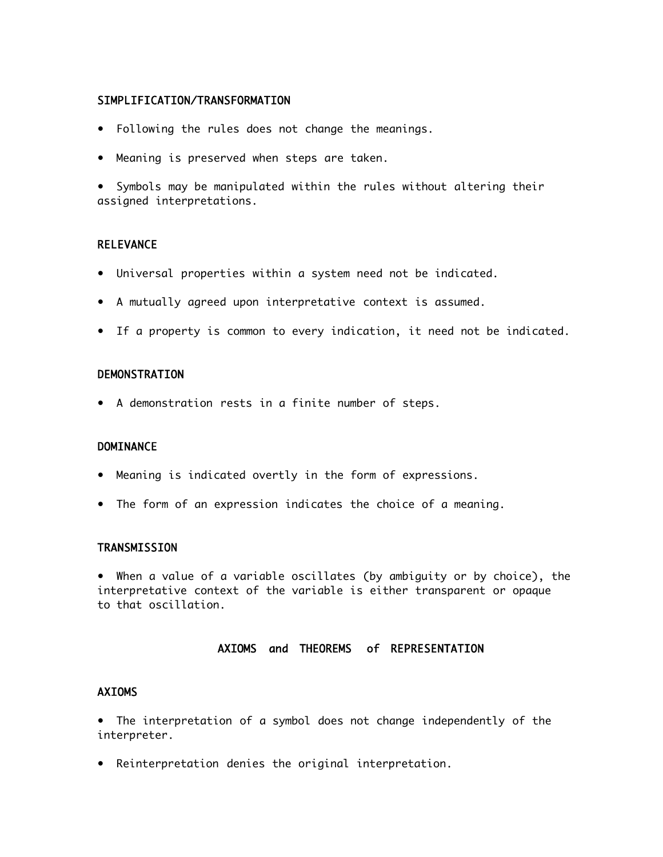# SIMPLIFICATION/TRANSFORMATION

- Following the rules does not change the meanings.
- Meaning is preserved when steps are taken.

• Symbols may be manipulated within the rules without altering their assigned interpretations.

# **RELEVANCE**

- Universal properties within a system need not be indicated.
- A mutually agreed upon interpretative context is assumed.
- If a property is common to every indication, it need not be indicated.

### **DEMONSTRATION**

• A demonstration rests in a finite number of steps.

### **DOMINANCE**

- Meaning is indicated overtly in the form of expressions.
- The form of an expression indicates the choice of a meaning.

# **TRANSMISSION**

• When a value of a variable oscillates (by ambiguity or by choice), the interpretative context of the variable is either transparent or opaque to that oscillation.

### AXIOMS and THEOREMS of REPRESENTATION

# AXIOMS

• The interpretation of a symbol does not change independently of the interpreter.

• Reinterpretation denies the original interpretation.